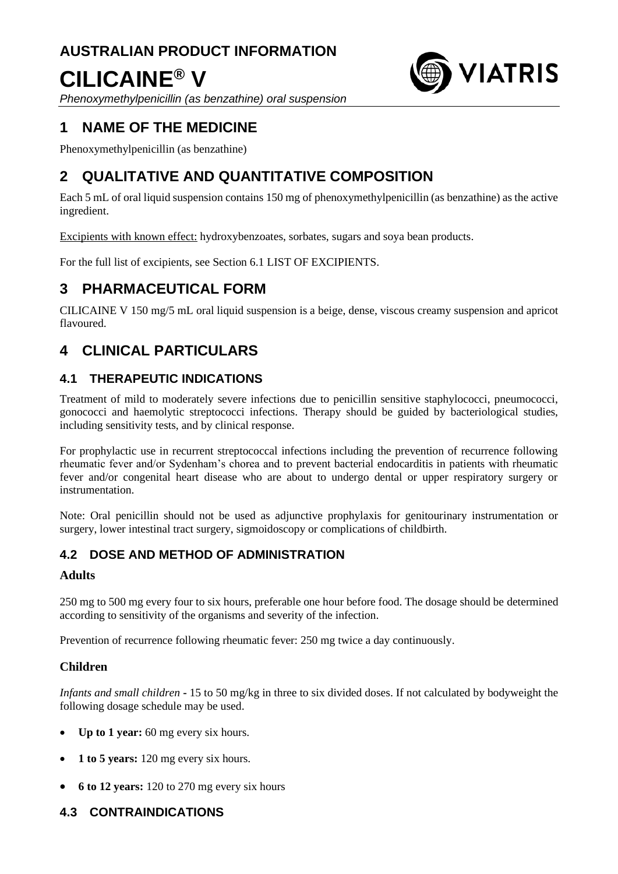# **AUSTRALIAN PRODUCT INFORMATION CILICAINE® V**



*Phenoxymethylpenicillin (as benzathine) oral suspension*

# **1 NAME OF THE MEDICINE**

Phenoxymethylpenicillin (as benzathine)

# **2 QUALITATIVE AND QUANTITATIVE COMPOSITION**

Each 5 mL of oral liquid suspension contains 150 mg of phenoxymethylpenicillin (as benzathine) as the active ingredient.

Excipients with known effect: hydroxybenzoates, sorbates, sugars and soya bean products.

For the full list of excipients, see Section 6.1 LIST OF EXCIPIENTS.

# **3 PHARMACEUTICAL FORM**

CILICAINE V 150 mg/5 mL oral liquid suspension is a beige, dense, viscous creamy suspension and apricot flavoured.

# **4 CLINICAL PARTICULARS**

# **4.1 THERAPEUTIC INDICATIONS**

Treatment of mild to moderately severe infections due to penicillin sensitive staphylococci, pneumococci, gonococci and haemolytic streptococci infections. Therapy should be guided by bacteriological studies, including sensitivity tests, and by clinical response.

For prophylactic use in recurrent streptococcal infections including the prevention of recurrence following rheumatic fever and/or Sydenham's chorea and to prevent bacterial endocarditis in patients with rheumatic fever and/or congenital heart disease who are about to undergo dental or upper respiratory surgery or instrumentation.

Note: Oral penicillin should not be used as adjunctive prophylaxis for genitourinary instrumentation or surgery, lower intestinal tract surgery, sigmoidoscopy or complications of childbirth.

# **4.2 DOSE AND METHOD OF ADMINISTRATION**

# **Adults**

250 mg to 500 mg every four to six hours, preferable one hour before food. The dosage should be determined according to sensitivity of the organisms and severity of the infection.

Prevention of recurrence following rheumatic fever: 250 mg twice a day continuously.

# **Children**

*Infants and small children* **-** 15 to 50 mg/kg in three to six divided doses. If not calculated by bodyweight the following dosage schedule may be used.

- **Up to 1 year:** 60 mg every six hours.
- **1 to 5 years:** 120 mg every six hours.
- **6 to 12 years:** 120 to 270 mg every six hours

# **4.3 CONTRAINDICATIONS**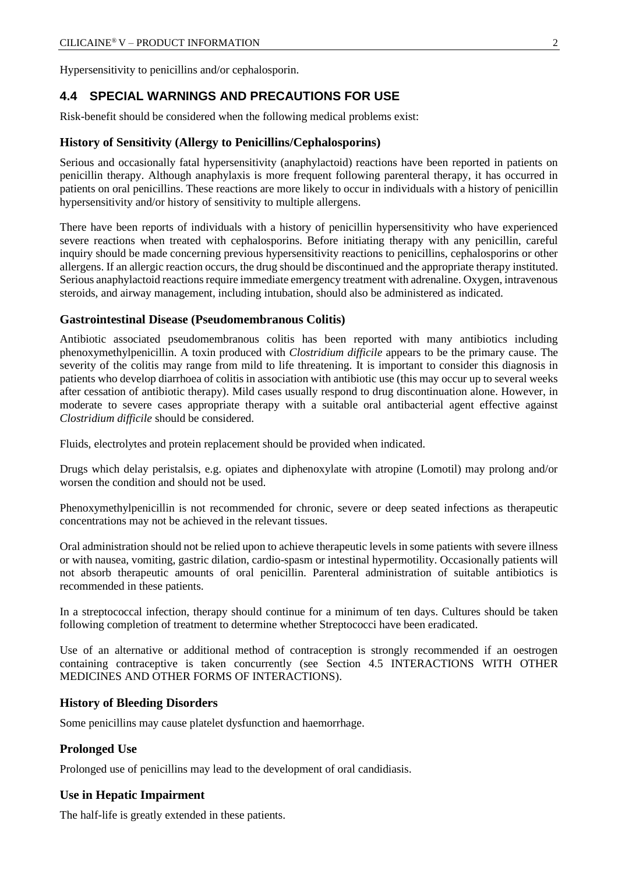Hypersensitivity to penicillins and/or cephalosporin.

# **4.4 SPECIAL WARNINGS AND PRECAUTIONS FOR USE**

Risk-benefit should be considered when the following medical problems exist:

#### **History of Sensitivity (Allergy to Penicillins/Cephalosporins)**

Serious and occasionally fatal hypersensitivity (anaphylactoid) reactions have been reported in patients on penicillin therapy. Although anaphylaxis is more frequent following parenteral therapy, it has occurred in patients on oral penicillins. These reactions are more likely to occur in individuals with a history of penicillin hypersensitivity and/or history of sensitivity to multiple allergens.

There have been reports of individuals with a history of penicillin hypersensitivity who have experienced severe reactions when treated with cephalosporins. Before initiating therapy with any penicillin, careful inquiry should be made concerning previous hypersensitivity reactions to penicillins, cephalosporins or other allergens. If an allergic reaction occurs, the drug should be discontinued and the appropriate therapy instituted. Serious anaphylactoid reactions require immediate emergency treatment with adrenaline. Oxygen, intravenous steroids, and airway management, including intubation, should also be administered as indicated.

#### **Gastrointestinal Disease (Pseudomembranous Colitis)**

Antibiotic associated pseudomembranous colitis has been reported with many antibiotics including phenoxymethylpenicillin. A toxin produced with *Clostridium difficile* appears to be the primary cause. The severity of the colitis may range from mild to life threatening. It is important to consider this diagnosis in patients who develop diarrhoea of colitis in association with antibiotic use (this may occur up to several weeks after cessation of antibiotic therapy). Mild cases usually respond to drug discontinuation alone. However, in moderate to severe cases appropriate therapy with a suitable oral antibacterial agent effective against *Clostridium difficile* should be considered.

Fluids, electrolytes and protein replacement should be provided when indicated.

Drugs which delay peristalsis, e.g. opiates and diphenoxylate with atropine (Lomotil) may prolong and/or worsen the condition and should not be used.

Phenoxymethylpenicillin is not recommended for chronic, severe or deep seated infections as therapeutic concentrations may not be achieved in the relevant tissues.

Oral administration should not be relied upon to achieve therapeutic levels in some patients with severe illness or with nausea, vomiting, gastric dilation, cardio-spasm or intestinal hypermotility. Occasionally patients will not absorb therapeutic amounts of oral penicillin. Parenteral administration of suitable antibiotics is recommended in these patients.

In a streptococcal infection, therapy should continue for a minimum of ten days. Cultures should be taken following completion of treatment to determine whether Streptococci have been eradicated.

Use of an alternative or additional method of contraception is strongly recommended if an oestrogen containing contraceptive is taken concurrently (see Section 4.5 INTERACTIONS WITH OTHER MEDICINES AND OTHER FORMS OF INTERACTIONS).

#### **History of Bleeding Disorders**

Some penicillins may cause platelet dysfunction and haemorrhage.

#### **Prolonged Use**

Prolonged use of penicillins may lead to the development of oral candidiasis.

#### **Use in Hepatic Impairment**

The half-life is greatly extended in these patients.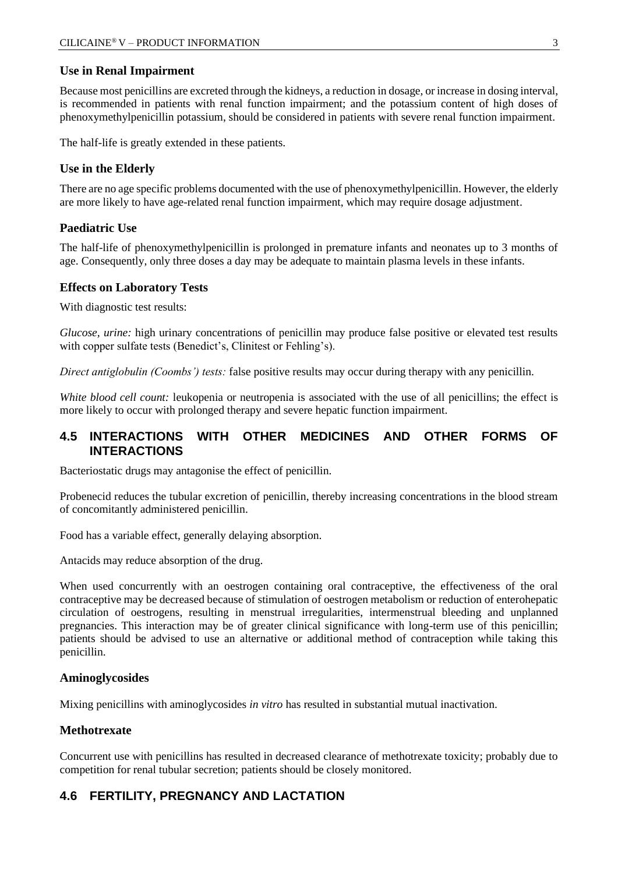#### **Use in Renal Impairment**

Because most penicillins are excreted through the kidneys, a reduction in dosage, or increase in dosing interval, is recommended in patients with renal function impairment; and the potassium content of high doses of phenoxymethylpenicillin potassium, should be considered in patients with severe renal function impairment.

The half-life is greatly extended in these patients.

#### **Use in the Elderly**

There are no age specific problems documented with the use of phenoxymethylpenicillin. However, the elderly are more likely to have age-related renal function impairment, which may require dosage adjustment.

#### **Paediatric Use**

The half-life of phenoxymethylpenicillin is prolonged in premature infants and neonates up to 3 months of age. Consequently, only three doses a day may be adequate to maintain plasma levels in these infants.

#### **Effects on Laboratory Tests**

With diagnostic test results:

*Glucose, urine:* high urinary concentrations of penicillin may produce false positive or elevated test results with copper sulfate tests (Benedict's, Clinitest or Fehling's).

*Direct antiglobulin (Coombs') tests:* false positive results may occur during therapy with any penicillin.

*White blood cell count:* leukopenia or neutropenia is associated with the use of all penicillins; the effect is more likely to occur with prolonged therapy and severe hepatic function impairment.

### **4.5 INTERACTIONS WITH OTHER MEDICINES AND OTHER FORMS OF INTERACTIONS**

Bacteriostatic drugs may antagonise the effect of penicillin.

Probenecid reduces the tubular excretion of penicillin, thereby increasing concentrations in the blood stream of concomitantly administered penicillin.

Food has a variable effect, generally delaying absorption.

Antacids may reduce absorption of the drug.

When used concurrently with an oestrogen containing oral contraceptive, the effectiveness of the oral contraceptive may be decreased because of stimulation of oestrogen metabolism or reduction of enterohepatic circulation of oestrogens, resulting in menstrual irregularities, intermenstrual bleeding and unplanned pregnancies. This interaction may be of greater clinical significance with long-term use of this penicillin; patients should be advised to use an alternative or additional method of contraception while taking this penicillin.

#### **Aminoglycosides**

Mixing penicillins with aminoglycosides *in vitro* has resulted in substantial mutual inactivation.

#### **Methotrexate**

Concurrent use with penicillins has resulted in decreased clearance of methotrexate toxicity; probably due to competition for renal tubular secretion; patients should be closely monitored.

# **4.6 FERTILITY, PREGNANCY AND LACTATION**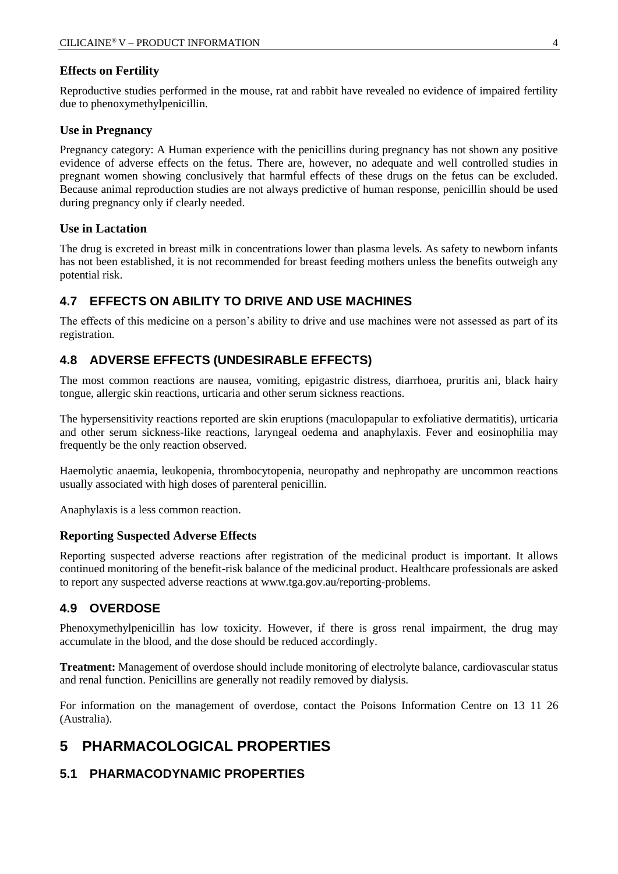#### **Effects on Fertility**

Reproductive studies performed in the mouse, rat and rabbit have revealed no evidence of impaired fertility due to phenoxymethylpenicillin.

#### **Use in Pregnancy**

Pregnancy category: A Human experience with the penicillins during pregnancy has not shown any positive evidence of adverse effects on the fetus. There are, however, no adequate and well controlled studies in pregnant women showing conclusively that harmful effects of these drugs on the fetus can be excluded. Because animal reproduction studies are not always predictive of human response, penicillin should be used during pregnancy only if clearly needed.

#### **Use in Lactation**

The drug is excreted in breast milk in concentrations lower than plasma levels. As safety to newborn infants has not been established, it is not recommended for breast feeding mothers unless the benefits outweigh any potential risk.

### **4.7 EFFECTS ON ABILITY TO DRIVE AND USE MACHINES**

The effects of this medicine on a person's ability to drive and use machines were not assessed as part of its registration.

# **4.8 ADVERSE EFFECTS (UNDESIRABLE EFFECTS)**

The most common reactions are nausea, vomiting, epigastric distress, diarrhoea, pruritis ani, black hairy tongue, allergic skin reactions, urticaria and other serum sickness reactions.

The hypersensitivity reactions reported are skin eruptions (maculopapular to exfoliative dermatitis), urticaria and other serum sickness-like reactions, laryngeal oedema and anaphylaxis. Fever and eosinophilia may frequently be the only reaction observed.

Haemolytic anaemia, leukopenia, thrombocytopenia, neuropathy and nephropathy are uncommon reactions usually associated with high doses of parenteral penicillin.

Anaphylaxis is a less common reaction.

#### **Reporting Suspected Adverse Effects**

Reporting suspected adverse reactions after registration of the medicinal product is important. It allows continued monitoring of the benefit-risk balance of the medicinal product. Healthcare professionals are asked to report any suspected adverse reactions at [www.tga.gov.au/reporting-problems.](http://www.tga.gov.au/reporting-problems)

# **4.9 OVERDOSE**

Phenoxymethylpenicillin has low toxicity. However, if there is gross renal impairment, the drug may accumulate in the blood, and the dose should be reduced accordingly.

**Treatment:** Management of overdose should include monitoring of electrolyte balance, cardiovascular status and renal function. Penicillins are generally not readily removed by dialysis.

For information on the management of overdose, contact the Poisons Information Centre on 13 11 26 (Australia).

# **5 PHARMACOLOGICAL PROPERTIES**

# **5.1 PHARMACODYNAMIC PROPERTIES**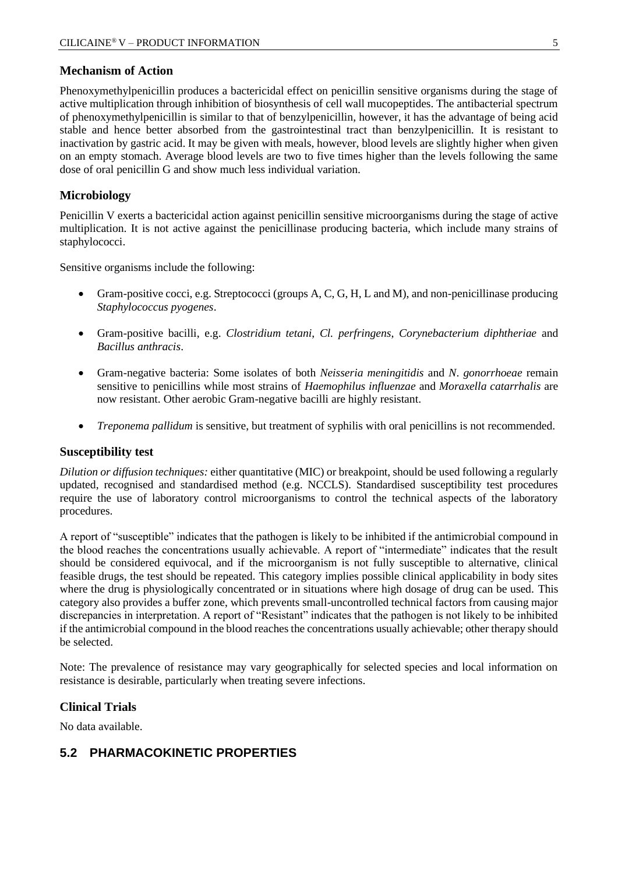#### **Mechanism of Action**

Phenoxymethylpenicillin produces a bactericidal effect on penicillin sensitive organisms during the stage of active multiplication through inhibition of biosynthesis of cell wall mucopeptides. The antibacterial spectrum of phenoxymethylpenicillin is similar to that of benzylpenicillin, however, it has the advantage of being acid stable and hence better absorbed from the gastrointestinal tract than benzylpenicillin. It is resistant to inactivation by gastric acid. It may be given with meals, however, blood levels are slightly higher when given on an empty stomach. Average blood levels are two to five times higher than the levels following the same dose of oral penicillin G and show much less individual variation.

#### **Microbiology**

Penicillin V exerts a bactericidal action against penicillin sensitive microorganisms during the stage of active multiplication. It is not active against the penicillinase producing bacteria, which include many strains of staphylococci.

Sensitive organisms include the following:

- Gram-positive cocci, e.g. Streptococci (groups A, C, G, H, L and M), and non-penicillinase producing *Staphylococcus pyogenes*.
- Gram-positive bacilli, e.g. *Clostridium tetani*, *Cl. perfringens*, *Corynebacterium diphtheriae* and *Bacillus anthracis*.
- Gram-negative bacteria: Some isolates of both *Neisseria meningitidis* and *N*. *gonorrhoeae* remain sensitive to penicillins while most strains of *Haemophilus influenzae* and *Moraxella catarrhalis* are now resistant. Other aerobic Gram-negative bacilli are highly resistant.
- *Treponema pallidum* is sensitive, but treatment of syphilis with oral penicillins is not recommended.

#### **Susceptibility test**

*Dilution or diffusion techniques:* either quantitative (MIC) or breakpoint, should be used following a regularly updated, recognised and standardised method (e.g. NCCLS). Standardised susceptibility test procedures require the use of laboratory control microorganisms to control the technical aspects of the laboratory procedures.

A report of "susceptible" indicates that the pathogen is likely to be inhibited if the antimicrobial compound in the blood reaches the concentrations usually achievable. A report of "intermediate" indicates that the result should be considered equivocal, and if the microorganism is not fully susceptible to alternative, clinical feasible drugs, the test should be repeated. This category implies possible clinical applicability in body sites where the drug is physiologically concentrated or in situations where high dosage of drug can be used. This category also provides a buffer zone, which prevents small-uncontrolled technical factors from causing major discrepancies in interpretation. A report of "Resistant" indicates that the pathogen is not likely to be inhibited if the antimicrobial compound in the blood reaches the concentrations usually achievable; other therapy should be selected.

Note: The prevalence of resistance may vary geographically for selected species and local information on resistance is desirable, particularly when treating severe infections.

#### **Clinical Trials**

No data available.

# **5.2 PHARMACOKINETIC PROPERTIES**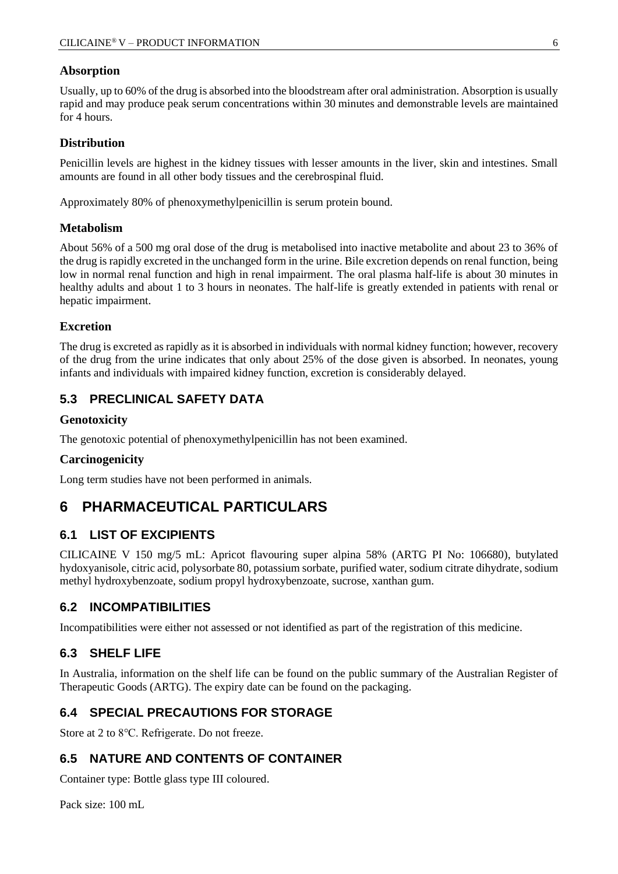#### **Absorption**

Usually, up to 60% of the drug is absorbed into the bloodstream after oral administration. Absorption is usually rapid and may produce peak serum concentrations within 30 minutes and demonstrable levels are maintained for 4 hours.

#### **Distribution**

Penicillin levels are highest in the kidney tissues with lesser amounts in the liver, skin and intestines. Small amounts are found in all other body tissues and the cerebrospinal fluid.

Approximately 80% of phenoxymethylpenicillin is serum protein bound.

#### **Metabolism**

About 56% of a 500 mg oral dose of the drug is metabolised into inactive metabolite and about 23 to 36% of the drug is rapidly excreted in the unchanged form in the urine. Bile excretion depends on renal function, being low in normal renal function and high in renal impairment. The oral plasma half-life is about 30 minutes in healthy adults and about 1 to 3 hours in neonates. The half-life is greatly extended in patients with renal or hepatic impairment.

#### **Excretion**

The drug is excreted as rapidly as it is absorbed in individuals with normal kidney function; however, recovery of the drug from the urine indicates that only about 25% of the dose given is absorbed. In neonates, young infants and individuals with impaired kidney function, excretion is considerably delayed.

# **5.3 PRECLINICAL SAFETY DATA**

#### **Genotoxicity**

The genotoxic potential of phenoxymethylpenicillin has not been examined.

#### **Carcinogenicity**

Long term studies have not been performed in animals.

# **6 PHARMACEUTICAL PARTICULARS**

# **6.1 LIST OF EXCIPIENTS**

CILICAINE V 150 mg/5 mL: Apricot flavouring super alpina 58% (ARTG PI No: 106680), butylated hydoxyanisole, citric acid, polysorbate 80, potassium sorbate, purified water, sodium citrate dihydrate, sodium methyl hydroxybenzoate, sodium propyl hydroxybenzoate, sucrose, xanthan gum.

# **6.2 INCOMPATIBILITIES**

Incompatibilities were either not assessed or not identified as part of the registration of this medicine.

#### **6.3 SHELF LIFE**

In Australia, information on the shelf life can be found on the public summary of the Australian Register of Therapeutic Goods (ARTG). The expiry date can be found on the packaging.

# **6.4 SPECIAL PRECAUTIONS FOR STORAGE**

Store at 2 to 8℃. Refrigerate. Do not freeze.

# **6.5 NATURE AND CONTENTS OF CONTAINER**

Container type: Bottle glass type III coloured.

Pack size: 100 mL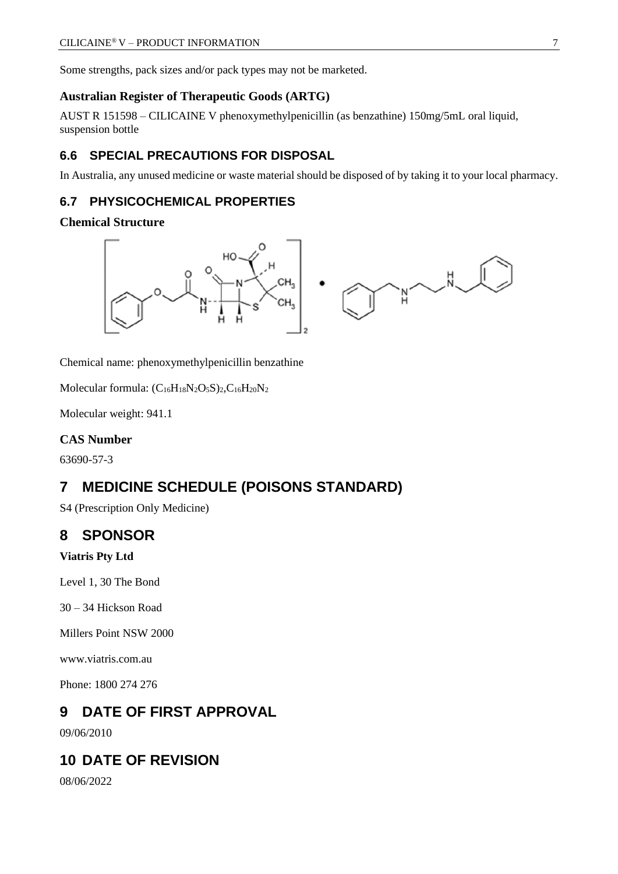Some strengths, pack sizes and/or pack types may not be marketed.

#### **Australian Register of Therapeutic Goods (ARTG)**

AUST R 151598 – CILICAINE V phenoxymethylpenicillin (as benzathine) 150mg/5mL oral liquid, suspension bottle

### **6.6 SPECIAL PRECAUTIONS FOR DISPOSAL**

In Australia, any unused medicine or waste material should be disposed of by taking it to your local pharmacy.

# **6.7 PHYSICOCHEMICAL PROPERTIES**

#### **Chemical Structure**



Chemical name: phenoxymethylpenicillin benzathine

Molecular formula:  $(C_{16}H_{18}N_2O_5S)_2, C_{16}H_{20}N_2$ 

Molecular weight: 941.1

#### **CAS Number**

63690-57-3

# **7 MEDICINE SCHEDULE (POISONS STANDARD)**

S4 (Prescription Only Medicine)

# **8 SPONSOR**

**Viatris Pty Ltd**

Level 1, 30 The Bond

30 – 34 Hickson Road

Millers Point NSW 2000

www.viatris.com.au

Phone: 1800 274 276

# **9 DATE OF FIRST APPROVAL**

09/06/2010

# **10 DATE OF REVISION**

08/06/2022